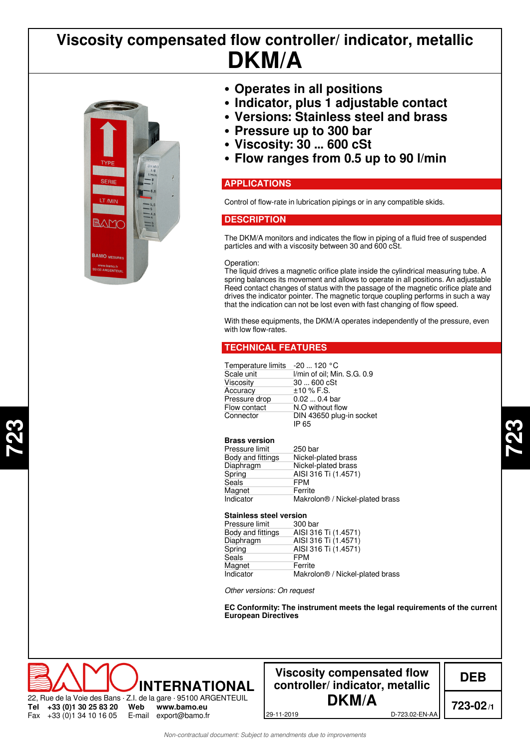# **DKM/A Viscosity compensated flow controller/ indicator, metallic**



**723**

- **• Operates in all positions**
- **• Indicator, plus 1 adjustable contact**
- **• Versions: Stainless steel and brass**
- **• Pressure up to 300 bar**
- **• Viscosity: 30 ... 600 cSt**
- **• Flow ranges from 0.5 up to 90 l/min**

## **APPLICATIONS**

Control of flow-rate in lubrication pipings or in any compatible skids.

## **DESCRIPTION**

The DKM/A monitors and indicates the flow in piping of a fluid free of suspended particles and with a viscosity between 30 and 600 cSt.

#### Operation:

The liquid drives a magnetic orifice plate inside the cylindrical measuring tube. A spring balances its movement and allows to operate in all positions. An adjustable Reed contact changes of status with the passage of the magnetic orifice plate and drives the indicator pointer. The magnetic torque coupling performs in such a way that the indication can not be lost even with fast changing of flow speed.

With these equipments, the DKM/A operates independently of the pressure, even with low flow-rates.

## **TECHNICAL FEATURES**

| Temperature limits -20  120 °C |                                   |
|--------------------------------|-----------------------------------|
| Scale unit                     | I/min of oil; Min. S.G. 0.9       |
| Viscosity                      | 30  600 cSt                       |
| Accuracy                       | $±10\%$ F.S.                      |
| Pressure drop                  | $0.020.4$ bar                     |
| Flow contact                   | N.O without flow                  |
| Connector                      | DIN 43650 plug-in socket<br>IP 65 |

#### **Brass version**

| Pressure limit    | 250 bar                                     |
|-------------------|---------------------------------------------|
| Body and fittings | Nickel-plated brass                         |
| Diaphragm         | Nickel-plated brass                         |
| Spring            | AISI 316 Ti (1.4571)                        |
| Seals             | <b>FPM</b>                                  |
| Magnet            | Ferrite                                     |
| Indicator         | Makrolon <sup>®</sup> / Nickel-plated brass |

### **Stainless steel version**

| 300 bar                                     |
|---------------------------------------------|
| AISI 316 Ti (1.4571)                        |
| AISI 316 Ti (1.4571)                        |
| AISI 316 Ti (1.4571)                        |
| <b>FPM</b>                                  |
| Ferrite                                     |
| Makrolon <sup>®</sup> / Nickel-plated brass |
|                                             |

*Other versions: On request*

**EC Conformity: The instrument meets the legal requirements of the current European Directives**



## **Viscosity compensated flow controller/ indicator, metallic DKM/A**

**DEB**

**723-02/1**

29-11-2019 D-723.02-EN-AA